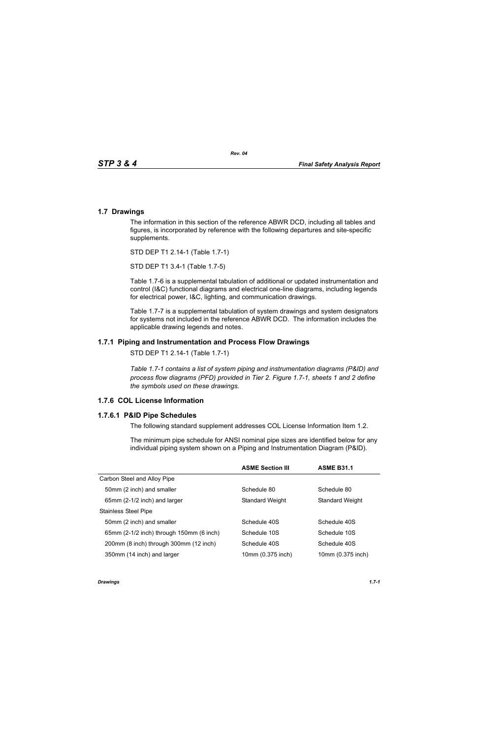## **1.7 Drawings**

The information in this section of the reference ABWR DCD, including all tables and figures, is incorporated by reference with the following departures and site-specific supplements.

STD DEP T1 2.14-1 (Table 1.7-1)

STD DEP T1 3.4-1 (Table 1.7-5)

Table [1.7-6](#page-3-0) is a supplemental tabulation of additional or updated instrumentation and control (I&C) functional diagrams and electrical one-line diagrams, including legends for electrical power, I&C, lighting, and communication drawings.

Table 1.7-7 is a supplemental tabulation of system drawings and system designators for systems not included in the reference ABWR DCD. The information includes the applicable drawing legends and notes.

## **1.7.1 Piping and Instrumentation and Process Flow Drawings**

STD DEP T1 2.14-1 (Table 1.7-1)

*Table 1.7-1 contains a list of system piping and instrumentation diagrams (P&ID) and process flow diagrams (PFD) provided in Tier 2. Figure 1.7-1, sheets 1 and 2 define the symbols used on these drawings.*

## **1.7.6 COL License Information**

## **1.7.6.1 P&ID Pipe Schedules**

The following standard supplement addresses COL License Information Item 1.2.

The minimum pipe schedule for ANSI nominal pipe sizes are identified below for any individual piping system shown on a Piping and Instrumentation Diagram (P&ID).

|                                          | <b>ASME Section III</b> | <b>ASME B31.1</b>      |
|------------------------------------------|-------------------------|------------------------|
| Carbon Steel and Alloy Pipe              |                         |                        |
| 50mm (2 inch) and smaller                | Schedule 80             | Schedule 80            |
| 65mm (2-1/2 inch) and larger             | <b>Standard Weight</b>  | <b>Standard Weight</b> |
| <b>Stainless Steel Pipe</b>              |                         |                        |
| 50mm (2 inch) and smaller                | Schedule 40S            | Schedule 40S           |
| 65mm (2-1/2 inch) through 150mm (6 inch) | Schedule 10S            | Schedule 10S           |
| 200mm (8 inch) through 300mm (12 inch)   | Schedule 40S            | Schedule 40S           |
| 350mm (14 inch) and larger               | 10mm (0.375 inch)       | 10mm (0.375 inch)      |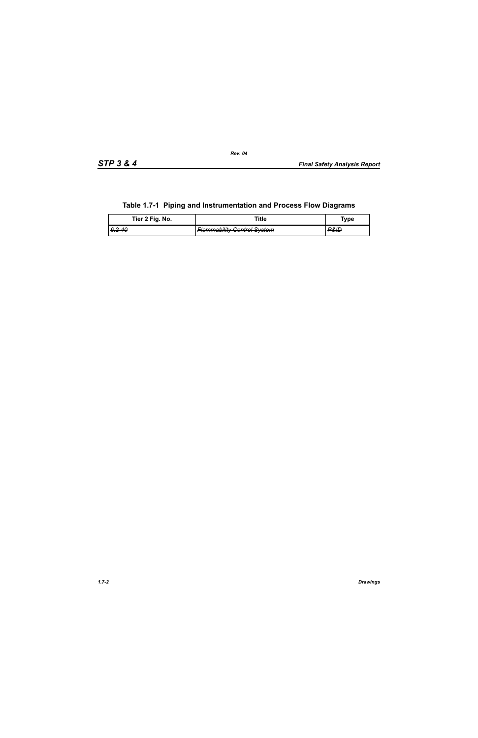| <u>rable 1.7-1 Fibrily and modulitentation and Frocess Flow Diagrams</u> |                                    |                     |  |  |
|--------------------------------------------------------------------------|------------------------------------|---------------------|--|--|
| Tier 2 Fig. No.                                                          | Title                              | Tvpe                |  |  |
| <del>6.2-40</del>                                                        | <b>Flammability Control System</b> | <del>P&amp;ID</del> |  |  |

## **Table 1.7-1 Piping and Instrumentation and Process Flow Diagrams**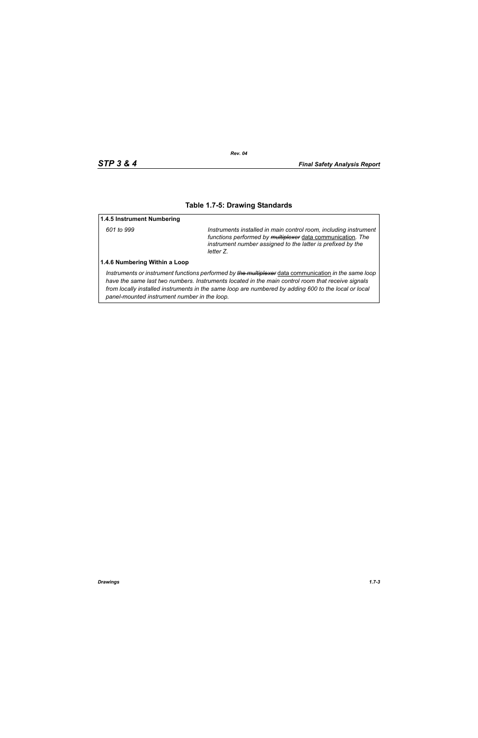### **Table 1.7-5: Drawing Standards**

#### **1.4.5 Instrument Numbering**

*601 to 999 Instruments installed in main control room, including instrument functions performed by multiplexer* data communication*. The instrument number assigned to the latter is prefixed by the letter Z.*

#### **1.4.6 Numbering Within a Loop**

*Instruments or instrument functions performed by the multiplexer* data communication *in the same loop have the same last two numbers. Instruments located in the main control room that receive signals from locally installed instruments in the same loop are numbered by adding 600 to the local or local panel-mounted instrument number in the loop.*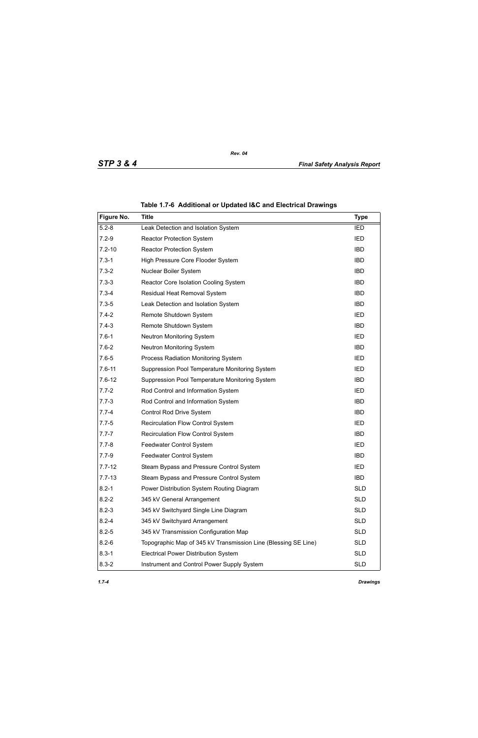<span id="page-3-0"></span>

| Figure No. | <b>Title</b>                                                   | <b>Type</b> |
|------------|----------------------------------------------------------------|-------------|
| $5.2 - 8$  | Leak Detection and Isolation System                            | <b>IED</b>  |
| $7.2 - 9$  | <b>Reactor Protection System</b>                               | <b>IED</b>  |
| $7.2 - 10$ | <b>Reactor Protection System</b>                               | <b>IBD</b>  |
| $7.3 - 1$  | High Pressure Core Flooder System                              | <b>IBD</b>  |
| $7.3 - 2$  | Nuclear Boiler System                                          | <b>IBD</b>  |
| $7.3 - 3$  | Reactor Core Isolation Cooling System                          | <b>IBD</b>  |
| $7.3 - 4$  | Residual Heat Removal System                                   | <b>IBD</b>  |
| $7.3 - 5$  | Leak Detection and Isolation System                            | <b>IBD</b>  |
| $7.4 - 2$  | Remote Shutdown System                                         | IED         |
| $7.4 - 3$  | Remote Shutdown System                                         | <b>IBD</b>  |
| $7.6 - 1$  | <b>Neutron Monitoring System</b>                               | IED         |
| $7.6 - 2$  | Neutron Monitoring System                                      | <b>IBD</b>  |
| $7.6 - 5$  | Process Radiation Monitoring System                            | IED         |
| $7.6 - 11$ | Suppression Pool Temperature Monitoring System                 | <b>IED</b>  |
| $7.6 - 12$ | Suppression Pool Temperature Monitoring System                 | <b>IBD</b>  |
| $7.7 - 2$  | Rod Control and Information System                             | <b>IED</b>  |
| $7.7 - 3$  | Rod Control and Information System                             | <b>IBD</b>  |
| $7.7 - 4$  | Control Rod Drive System                                       | <b>IBD</b>  |
| $7.7 - 5$  | Recirculation Flow Control System                              | <b>IED</b>  |
| $7.7 - 7$  | Recirculation Flow Control System                              | <b>IBD</b>  |
| $7.7 - 8$  | Feedwater Control System                                       | <b>IED</b>  |
| $7.7 - 9$  | Feedwater Control System                                       | <b>IBD</b>  |
| $7.7 - 12$ | Steam Bypass and Pressure Control System                       | <b>IED</b>  |
| $7.7 - 13$ | Steam Bypass and Pressure Control System                       | <b>IBD</b>  |
| $8.2 - 1$  | Power Distribution System Routing Diagram                      | <b>SLD</b>  |
| $8.2 - 2$  | 345 kV General Arrangement                                     | <b>SLD</b>  |
| $8.2 - 3$  | 345 kV Switchyard Single Line Diagram                          | <b>SLD</b>  |
| $8.2 - 4$  | 345 kV Switchyard Arrangement                                  | <b>SLD</b>  |
| $8.2 - 5$  | 345 kV Transmission Configuration Map                          | <b>SLD</b>  |
| $8.2 - 6$  | Topographic Map of 345 kV Transmission Line (Blessing SE Line) | <b>SLD</b>  |
| $8.3 - 1$  | <b>Electrical Power Distribution System</b>                    | <b>SLD</b>  |
| $8.3 - 2$  | Instrument and Control Power Supply System                     | <b>SLD</b>  |

**Table 1.7-6 Additional or Updated I&C and Electrical Drawings**